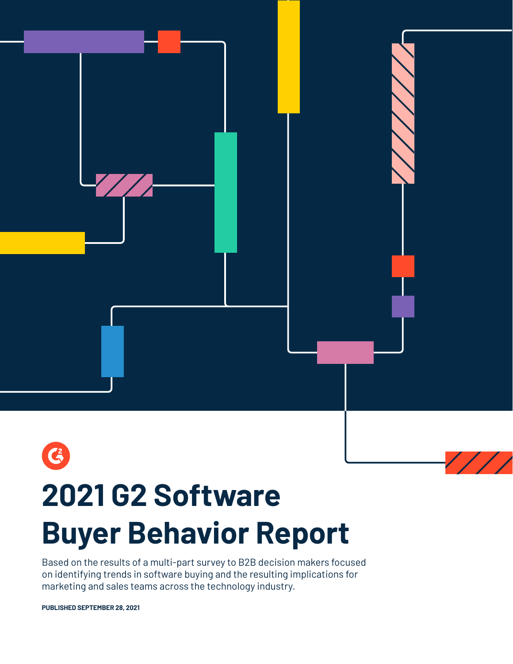

# **2021 G2 Software Buyer Behavior Report**

Based on the results of a multi-part survey to B2B decision makers focused on identifying trends in software buying and the resulting implications for marketing and sales teams across the technology industry.

**PUBLISHED SEPTEMBER 28, 2021**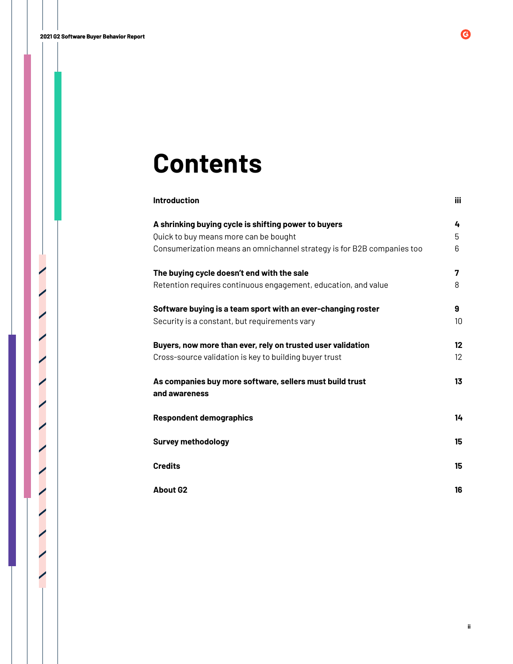# **Contents**

| <b>Introduction</b>                                                                                                                                                     | <b>iii</b>  |
|-------------------------------------------------------------------------------------------------------------------------------------------------------------------------|-------------|
| A shrinking buying cycle is shifting power to buyers<br>Quick to buy means more can be bought<br>Consumerization means an omnichannel strategy is for B2B companies too | 4<br>5<br>6 |
| The buying cycle doesn't end with the sale<br>Retention requires continuous engagement, education, and value                                                            | 7<br>8      |
| Software buying is a team sport with an ever-changing roster<br>Security is a constant, but requirements vary                                                           | 9<br>10     |
| Buyers, now more than ever, rely on trusted user validation<br>Cross-source validation is key to building buyer trust                                                   | 12<br>12    |
| As companies buy more software, sellers must build trust<br>and awareness                                                                                               | 13          |
| <b>Respondent demographics</b>                                                                                                                                          | 14          |
| <b>Survey methodology</b>                                                                                                                                               | 15          |
| <b>Credits</b>                                                                                                                                                          | 15          |
| <b>About G2</b>                                                                                                                                                         | 16          |

 $\bigcirc$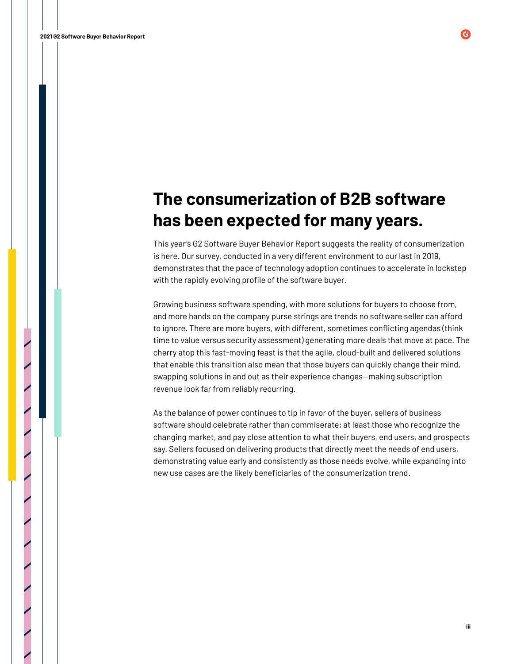# **The consumerization of B2B software has been expected for many years.**

This year's G2 Software Buyer Behavior Report suggests the reality of consumerization is here. Our survey, conducted in a very different environment to our last in 2019, demonstrates that the pace of technology adoption continues to accelerate in lockstep with the rapidly evolving profile of the software buyer.

Growing business software spending, with more solutions for buyers to choose from, and more hands on the company purse strings are trends no software seller can afford to ignore. There are more buyers, with different, sometimes conflicting agendas (think time to value versus security assessment) generating more deals that move at pace. The cherry atop this fast-moving feast is that the agile, cloud-built and delivered solutions that enable this transition also mean that those buyers can quickly change their mind, swapping solutions in and out as their experience changes—making subscription revenue look far from reliably recurring.

As the balance of power continues to tip in favor of the buyer, sellers of business software should celebrate rather than commiserate; at least those who recognize the changing market, and pay close attention to what their buyers, end users, and prospects say. Sellers focused on delivering products that directly meet the needs of end users, demonstrating value early and consistently as those needs evolve, while expanding into new use cases are the likely beneficiaries of the consumerization trend.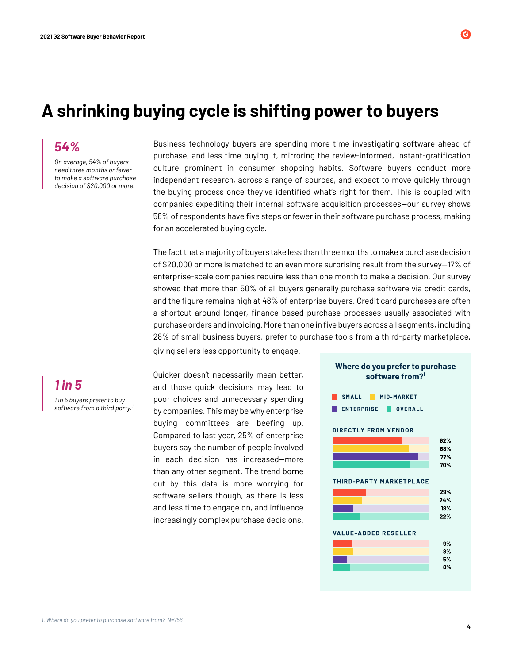## **A shrinking buying cycle is shifting power to buyers**

*On average, 54% of buyers need three months or fewer to make a software purchase decision of \$20,000 or more.*

Business technology buyers are spending more time investigating software ahead of purchase, and less time buying it, mirroring the review-informed, instant-gratification culture prominent in consumer shopping habits. Software buyers conduct more independent research, across a range of sources, and expect to move quickly through the buying process once they've identified what's right for them. This is coupled with companies expediting their internal software acquisition processes—our survey shows 56% of respondents have five steps or fewer in their software purchase process, making for an accelerated buying cycle.

The fact that a majority of buyers take less than three months to make a purchase decision of \$20,000 or more is matched to an even more surprising result from the survey—17% of enterprise-scale companies require less than one month to make a decision. Our survey showed that more than 50% of all buyers generally purchase software via credit cards, and the figure remains high at 48% of enterprise buyers. Credit card purchases are often a shortcut around longer, finance-based purchase processes usually associated with purchase orders and invoicing. More than one in five buyers across all segments, including 28% of small business buyers, prefer to purchase tools from a third-party marketplace, giving sellers less opportunity to engage.

*1 in 5 buyers prefer to buy*  software from a third party.<sup>1</sup> *1 in 5*

Quicker doesn't necessarily mean better, and those quick decisions may lead to poor choices and unnecessary spending by companies. This may be why enterprise buying committees are beefing up. Compared to last year, 25% of enterprise buyers say the number of people involved in each decision has increased—more than any other segment. The trend borne out by this data is more worrying for software sellers though, as there is less and less time to engage on, and influence increasingly complex purchase decisions.



**Where do you prefer to purchase** 

# *54%*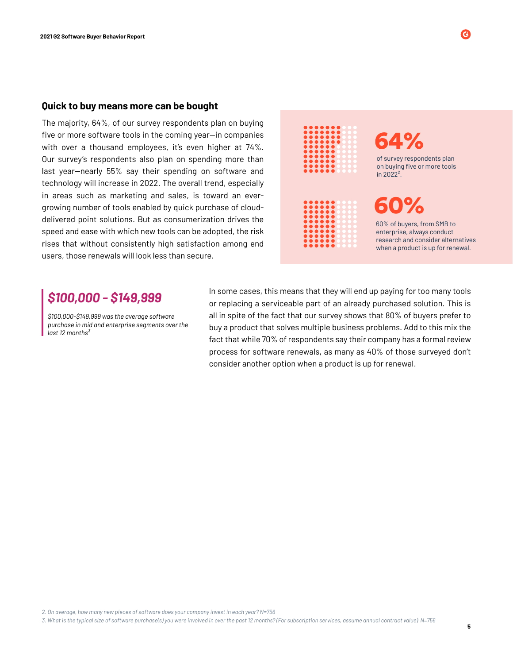#### **Quick to buy means more can be bought**

The majority, 64%, of our survey respondents plan on buying five or more software tools in the coming year—in companies with over a thousand employees, it's even higher at 74%. Our survey's respondents also plan on spending more than last year—nearly 55% say their spending on software and technology will increase in 2022. The overall trend, especially in areas such as marketing and sales, is toward an evergrowing number of tools enabled by quick purchase of clouddelivered point solutions. But as consumerization drives the speed and ease with which new tools can be adopted, the risk rises that without consistently high satisfaction among end users, those renewals will look less than secure.



*\$100,000-\$149,999 was the average software purchase in mid and enterprise segments over the last 12 months³*

**\$100,000 - \$149,999** In some cases, this means that they will end up paying for too many tools<br>Corresponded a pervisorble part of an elready purchased solution. This is or replacing a serviceable part of an already purchased solution. This is all in spite of the fact that our survey shows that 80% of buyers prefer to buy a product that solves multiple business problems. Add to this mix the fact that while 70% of respondents say their company has a formal review process for software renewals, as many as 40% of those surveyed don't consider another option when a product is up for renewal.

*2. On average, how many new pieces of software does your company invest in each year? N=756*

*3. What is the typical size of software purchase(s) you were involved in over the past 12 months? (For subscription services, assume annual contract value) N=756*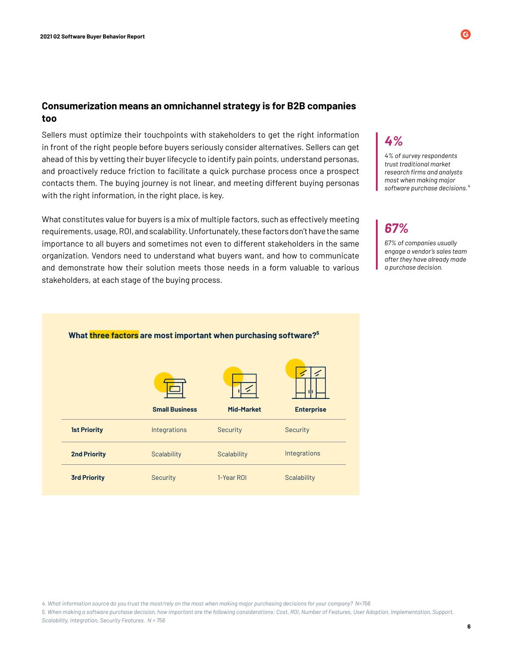#### **Consumerization means an omnichannel strategy is for B2B companies too**

Sellers must optimize their touchpoints with stakeholders to get the right information in front of the right people before buyers seriously consider alternatives. Sellers can get ahead of this by vetting their buyer lifecycle to identify pain points, understand personas, and proactively reduce friction to facilitate a quick purchase process once a prospect contacts them. The buying journey is not linear, and meeting different buying personas with the right information, in the right place, is key.

What constitutes value for buyers is a mix of multiple factors, such as effectively meeting requirements, usage, ROI, and scalability. Unfortunately, these factors don't have the same importance to all buyers and sometimes not even to different stakeholders in the same organization. Vendors need to understand what buyers want, and how to communicate and demonstrate how their solution meets those needs in a form valuable to various stakeholders, at each stage of the buying process.

### *4%*

*4% of survey respondents trust traditional market research firms and analysts most when making major software purchase decisions.⁴*

### *67%*

*67% of companies usually engage a vendor's sales team after they have already made a purchase decision.*

**6**

# What three factors are most important when purchasing software?<sup>5</sup>

|                     |                       | Z.                 |                    |
|---------------------|-----------------------|--------------------|--------------------|
|                     | <b>Small Business</b> | <b>Mid-Market</b>  | <b>Enterprise</b>  |
| <b>1st Priority</b> | Integrations          | <b>Security</b>    | Security           |
| <b>2nd Priority</b> | Scalability           | <b>Scalability</b> | Integrations       |
| <b>3rd Priority</b> | <b>Security</b>       | 1-Year ROI         | <b>Scalability</b> |

*4. What information source do you trust the most/rely on the most when making major purchasing decisions for your company? N=756*

*5. When making a software purchase decision, how important are the following considerations: Cost, ROI, Number of Features, User Adoption, Implementation, Support, Scalability, Integration, Security Features. N = 756*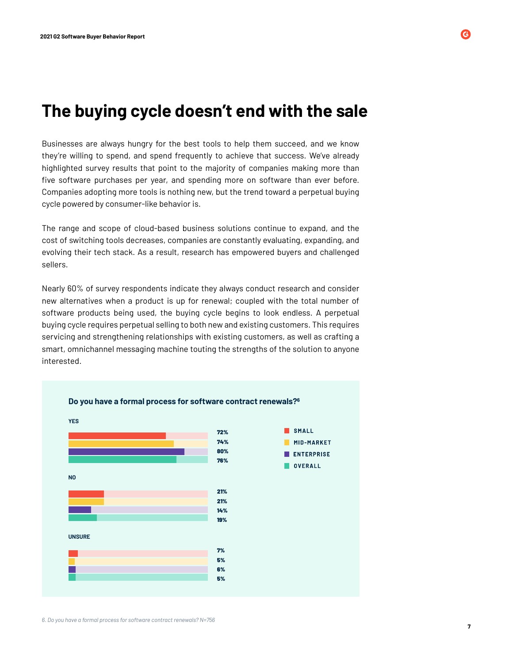### **The buying cycle doesn't end with the sale**

Businesses are always hungry for the best tools to help them succeed, and we know they're willing to spend, and spend frequently to achieve that success. We've already highlighted survey results that point to the majority of companies making more than five software purchases per year, and spending more on software than ever before. Companies adopting more tools is nothing new, but the trend toward a perpetual buying cycle powered by consumer-like behavior is.

The range and scope of cloud-based business solutions continue to expand, and the cost of switching tools decreases, companies are constantly evaluating, expanding, and evolving their tech stack. As a result, research has empowered buyers and challenged sellers.

Nearly 60% of survey respondents indicate they always conduct research and consider new alternatives when a product is up for renewal; coupled with the total number of software products being used, the buying cycle begins to look endless. A perpetual buying cycle requires perpetual selling to both new and existing customers. This requires servicing and strengthening relationships with existing customers, as well as crafting a smart, omnichannel messaging machine touting the strengths of the solution to anyone interested.

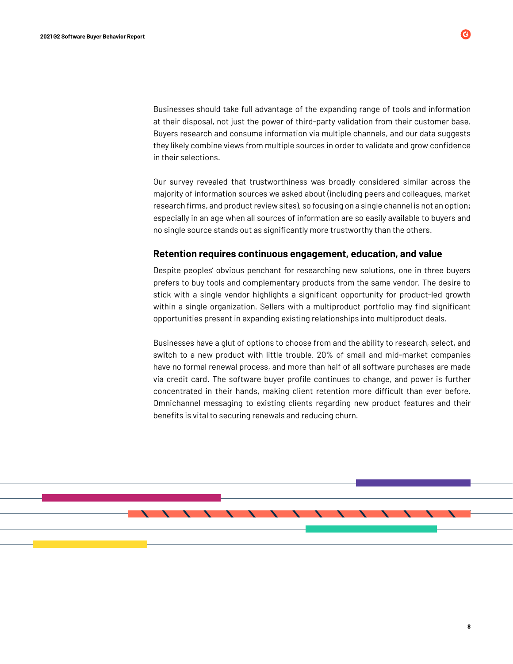Businesses should take full advantage of the expanding range of tools and information at their disposal, not just the power of third-party validation from their customer base. Buyers research and consume information via multiple channels, and our data suggests they likely combine views from multiple sources in order to validate and grow confidence in their selections.

Our survey revealed that trustworthiness was broadly considered similar across the majority of information sources we asked about (including peers and colleagues, market research firms, and product review sites), so focusing on a single channel is not an option; especially in an age when all sources of information are so easily available to buyers and no single source stands out as significantly more trustworthy than the others.

#### **Retention requires continuous engagement, education, and value**

Despite peoples' obvious penchant for researching new solutions, one in three buyers prefers to buy tools and complementary products from the same vendor. The desire to stick with a single vendor highlights a significant opportunity for product-led growth within a single organization. Sellers with a multiproduct portfolio may find significant opportunities present in expanding existing relationships into multiproduct deals.

Businesses have a glut of options to choose from and the ability to research, select, and switch to a new product with little trouble. 20% of small and mid-market companies have no formal renewal process, and more than half of all software purchases are made via credit card. The software buyer profile continues to change, and power is further concentrated in their hands, making client retention more difficult than ever before. Omnichannel messaging to existing clients regarding new product features and their benefits is vital to securing renewals and reducing churn.



**8**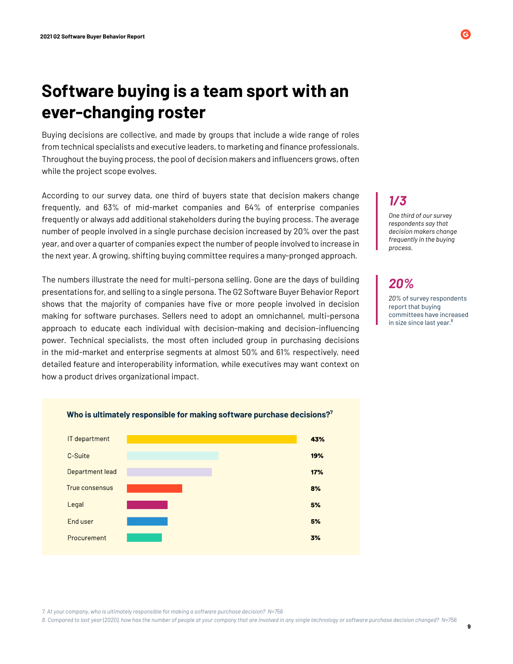# **Software buying is a team sport with an ever-changing roster**

Buying decisions are collective, and made by groups that include a wide range of roles from technical specialists and executive leaders, to marketing and finance professionals. Throughout the buying process, the pool of decision makers and influencers grows, often while the project scope evolves.

According to our survey data, one third of buyers state that decision makers change frequently, and 63% of mid-market companies and 64% of enterprise companies frequently or always add additional stakeholders during the buying process. The average number of people involved in a single purchase decision increased by 20% over the past year, and over a quarter of companies expect the number of people involved to increase in the next year. A growing, shifting buying committee requires a many-pronged approach.

The numbers illustrate the need for multi-persona selling. Gone are the days of building presentations for, and selling to a single persona. The G2 Software Buyer Behavior Report shows that the majority of companies have five or more people involved in decision making for software purchases. Sellers need to adopt an omnichannel, multi-persona approach to educate each individual with decision-making and decision-influencing power. Technical specialists, the most often included group in purchasing decisions in the mid-market and enterprise segments at almost 50% and 61% respectively, need detailed feature and interoperability information, while executives may want context on how a product drives organizational impact.



### *1/3*

*One third of our survey respondents say that decision makers change frequently in the buying process.*

### *20%*

*20%* of survey respondents report that buying committees have increased in size since last year.<sup>8</sup>

**9**

*7. At your company, who is ultimately responsible for making a software purchase decision? N=756* 

*8. Compared to last year (2020), how has the number of people at your company that are involved in any single technology or software purchase decision changed? N=756*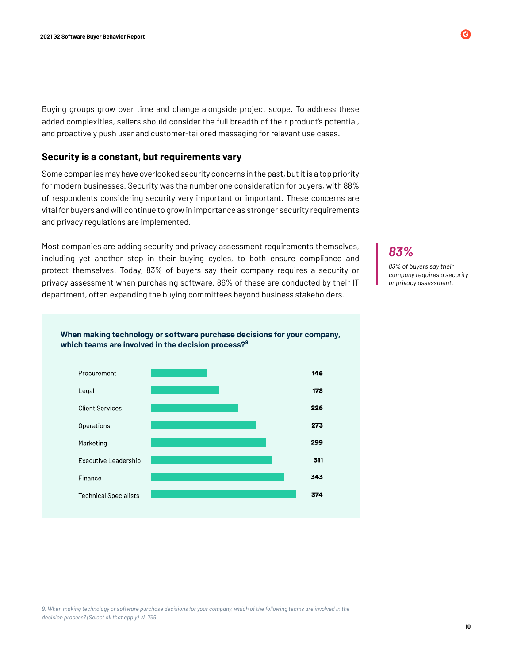Buying groups grow over time and change alongside project scope. To address these added complexities, sellers should consider the full breadth of their product's potential, and proactively push user and customer-tailored messaging for relevant use cases.

#### **Security is a constant, but requirements vary**

Some companies may have overlooked security concerns in the past, but it is a top priority for modern businesses. Security was the number one consideration for buyers, with 88% of respondents considering security very important or important. These concerns are vital for buyers and will continue to grow in importance as stronger security requirements and privacy regulations are implemented.

Most companies are adding security and privacy assessment requirements themselves, including yet another step in their buying cycles, to both ensure compliance and protect themselves. Today, 83% of buyers say their company requires a security or privacy assessment when purchasing software. 86% of these are conducted by their IT department, often expanding the buying committees beyond business stakeholders.

### *83%*

*83% of buyers say their company requires a security or privacy assessment.*



**When making technology or software purchase decisions for your company, which teams are involved in the decision process?⁹**

*9. When making technology or software purchase decisions for your company, which of the following teams are involved in the decision process? (Select all that apply) N=756* 

#### **10**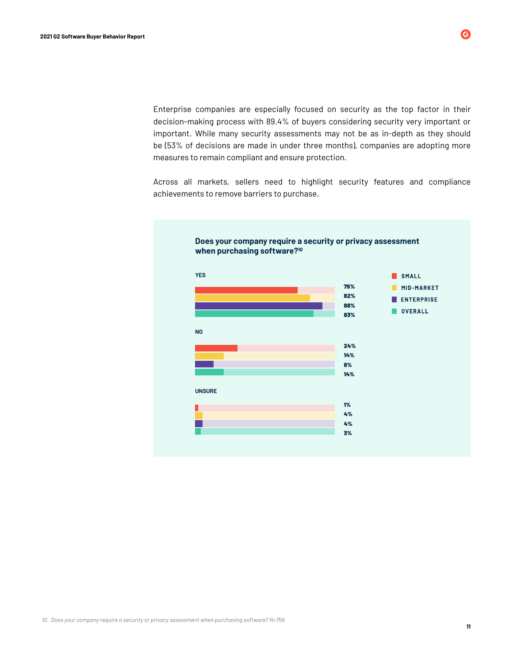Enterprise companies are especially focused on security as the top factor in their decision-making process with 89.4% of buyers considering security very important or important. While many security assessments may not be as in-depth as they should be (53% of decisions are made in under three months), companies are adopting more measures to remain compliant and ensure protection.

Across all markets, sellers need to highlight security features and compliance achievements to remove barriers to purchase.



*10. Does your company require a security or privacy assessment when purchasing software? N=756*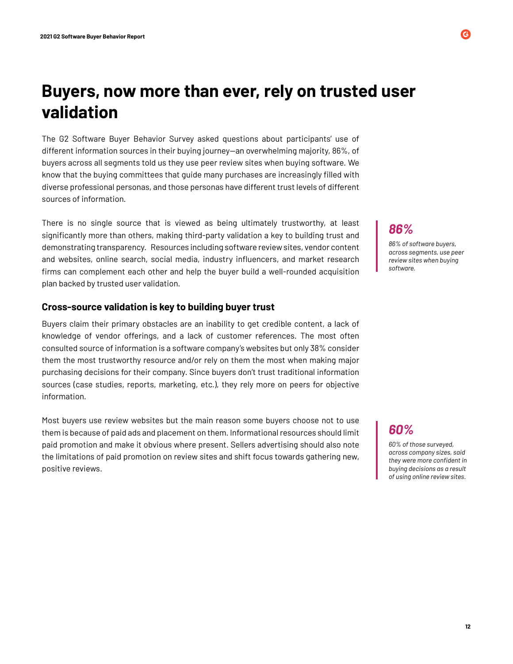## **Buyers, now more than ever, rely on trusted user validation**

The G2 Software Buyer Behavior Survey asked questions about participants' use of different information sources in their buying journey—an overwhelming majority, 86%, of buyers across all segments told us they use peer review sites when buying software. We know that the buying committees that guide many purchases are increasingly filled with diverse professional personas, and those personas have different trust levels of different sources of information.

There is no single source that is viewed as being ultimately trustworthy, at least significantly more than others, making third-party validation a key to building trust and demonstrating transparency. Resources including software review sites, vendor content and websites, online search, social media, industry influencers, and market research firms can complement each other and help the buyer build a well-rounded acquisition plan backed by trusted user validation.

#### **Cross-source validation is key to building buyer trust**

Buyers claim their primary obstacles are an inability to get credible content, a lack of knowledge of vendor offerings, and a lack of customer references. The most often consulted source of information is a software company's websites but only 38% consider them the most trustworthy resource and/or rely on them the most when making major purchasing decisions for their company. Since buyers don't trust traditional information sources (case studies, reports, marketing, etc.), they rely more on peers for objective information.

Most buyers use review websites but the main reason some buyers choose not to use them is because of paid ads and placement on them. Informational resources should limit paid promotion and make it obvious where present. Sellers advertising should also note the limitations of paid promotion on review sites and shift focus towards gathering new, positive reviews.

*86%*

*86% of software buyers, across segments, use peer review sites when buying software.*

### *60%*

*60% of those surveyed, across company sizes, said they were more confident in buying decisions as a result of using online review sites.*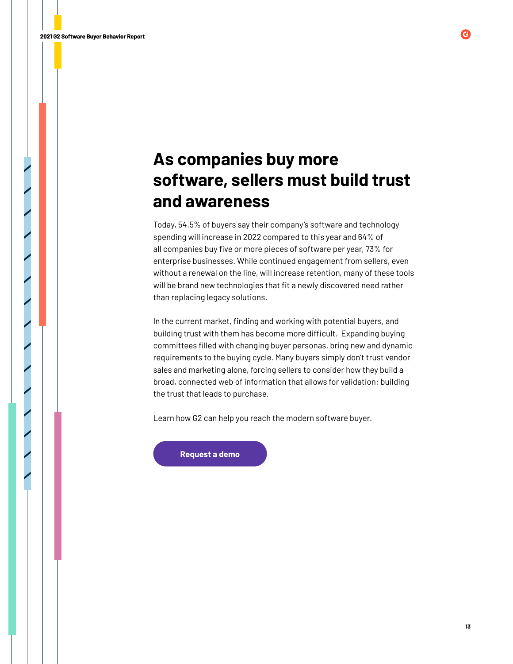# **As companies buy more software, sellers must build trust and awareness**

Today, 54.5% of buyers say their company's software and technology spending will increase in 2022 compared to this year and 64% of all companies buy five or more pieces of software per year, 73% for enterprise businesses. While continued engagement from sellers, even without a renewal on the line, will increase retention, many of these tools will be brand new technologies that fit a newly discovered need rather than replacing legacy solutions.

In the current market, finding and working with potential buyers, and building trust with them has become more difficult. Expanding buying committees filled with changing buyer personas, bring new and dynamic requirements to the buying cycle. Many buyers simply don't trust vendor sales and marketing alone, forcing sellers to consider how they build a broad, connected web of information that allows for validation: building the trust that leads to purchase.

Learn how G2 can help you reach the modern software buyer.

Request a demo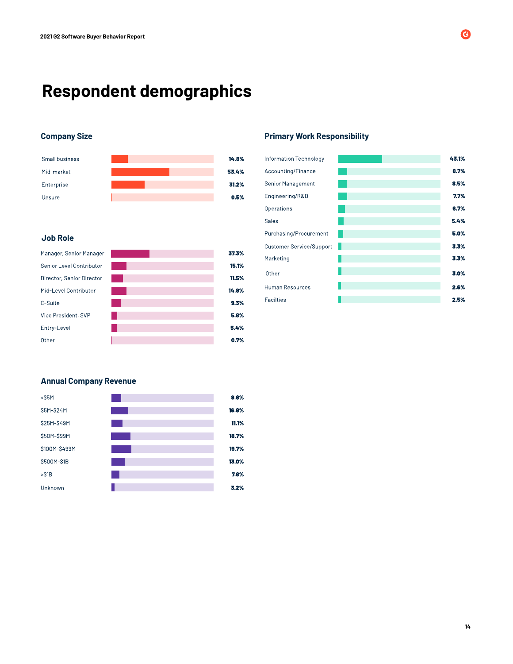# **Respondent demographics**



#### **Job Role**

| Manager, Senior Manager   | 37.3% |
|---------------------------|-------|
| Senior Level Contributor  | 15.1% |
| Director, Senior Director | 11.5% |
| Mid-Level Contributor     | 14.9% |
| C-Suite                   | 9.3%  |
| Vice President, SVP       | 5.8%  |
| Entry-Level               | 5.4%  |
| Other                     | 0.7%  |

#### **Company Size Primary Work Responsibility**

| Information Technology          | 43.1% |
|---------------------------------|-------|
| Accounting/Finance              | 8.7%  |
| Senior Management               | 8.5%  |
| Engineering/R&D                 | 7.7%  |
| Operations                      | 6.7%  |
| Sales                           | 5.4%  |
| Purchasing/Procurement          | 5.0%  |
| <b>Customer Service/Support</b> | 3.3%  |
| Marketing                       | 3.3%  |
| Other                           | 3.0%  |
| <b>Human Resources</b>          | 2.6%  |
| <b>Facilties</b>                | 2.5%  |

#### **Annual Company Revenue**

| $<$ S5M       | 9.8%  |
|---------------|-------|
| \$5M-\$24M    | 16.8% |
| S25M-S49M     | 11.1% |
| \$50M-\$99M   | 18.7% |
| \$100M-\$499M | 19.7% |
| \$500M-\$1B   | 13.0% |
| $>$ S1B       | 7.8%  |
| Unknown       | 3.2%  |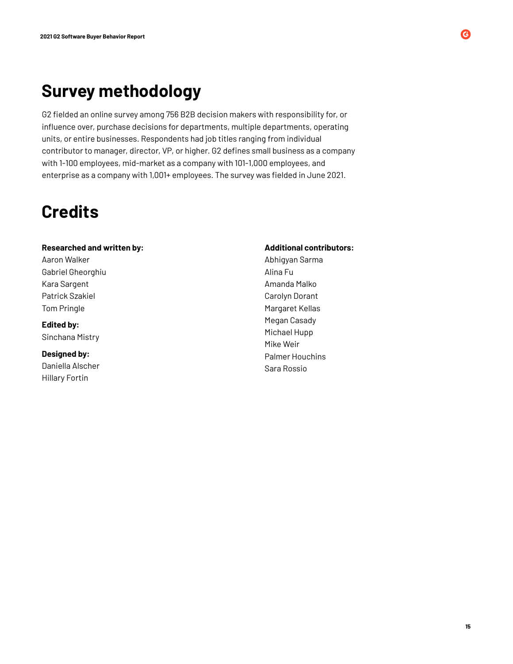# **Survey methodology**

G2 fielded an online survey among 756 B2B decision makers with responsibility for, or influence over, purchase decisions for departments, multiple departments, operating units, or entire businesses. Respondents had job titles ranging from individual contributor to manager, director, VP, or higher. G2 defines small business as a company with 1-100 employees, mid-market as a company with 101-1,000 employees, and enterprise as a company with 1,001+ employees. The survey was fielded in June 2021.

# **Credits**

#### **Researched and written by:**

Aaron Walker Gabriel Gheorghiu Kara Sargent Patrick Szakiel Tom Pringle

**Edited by:** Sinchana Mistry

**Designed by:** Daniella Alscher Hillary Fortin

#### **Additional contributors:**

Abhigyan Sarma Alina Fu Amanda Malko Carolyn Dorant Margaret Kellas Megan Casady Michael Hupp Mike Weir Palmer Houchins Sara Rossio